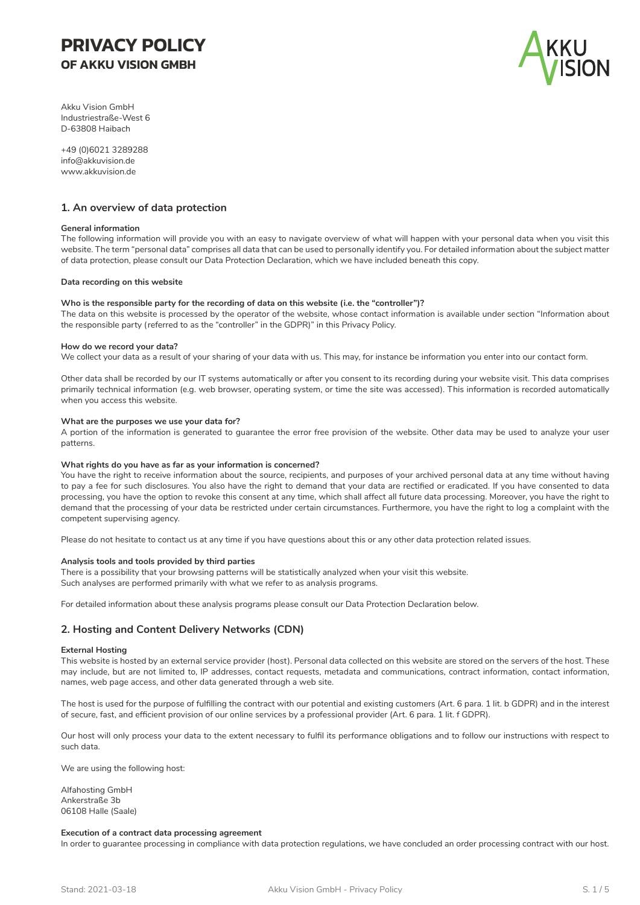# **PRIVACY POLICY OF AKKU VISION GMBH**



Akku Vision GmbH Industriestraße-West 6 D-63808 Haibach

+49 (0)6021 3289288 info@akkuvision.de www.akkuvision.de

## **1. An overview of data protection**

## **General information**

The following information will provide you with an easy to navigate overview of what will happen with your personal data when you visit this website. The term "personal data" comprises all data that can be used to personally identify you. For detailed information about the subject matter of data protection, please consult our Data Protection Declaration, which we have included beneath this copy.

#### **Data recording on this website**

## **Who is the responsible party for the recording of data on this website (i.e. the "controller")?**

The data on this website is processed by the operator of the website, whose contact information is available under section "Information about the responsible party (referred to as the "controller" in the GDPR)" in this Privacy Policy.

## **How do we record your data?**

We collect your data as a result of your sharing of your data with us. This may, for instance be information you enter into our contact form.

Other data shall be recorded by our IT systems automatically or after you consent to its recording during your website visit. This data comprises primarily technical information (e.g. web browser, operating system, or time the site was accessed). This information is recorded automatically when you access this website.

## **What are the purposes we use your data for?**

A portion of the information is generated to guarantee the error free provision of the website. Other data may be used to analyze your user patterns.

### **What rights do you have as far as your information is concerned?**

You have the right to receive information about the source, recipients, and purposes of your archived personal data at any time without having to pay a fee for such disclosures. You also have the right to demand that your data are rectified or eradicated. If you have consented to data processing, you have the option to revoke this consent at any time, which shall affect all future data processing. Moreover, you have the right to demand that the processing of your data be restricted under certain circumstances. Furthermore, you have the right to log a complaint with the competent supervising agency.

Please do not hesitate to contact us at any time if you have questions about this or any other data protection related issues.

## **Analysis tools and tools provided by third parties**

There is a possibility that your browsing patterns will be statistically analyzed when your visit this website. Such analyses are performed primarily with what we refer to as analysis programs.

For detailed information about these analysis programs please consult our Data Protection Declaration below.

# **2. Hosting and Content Delivery Networks (CDN)**

#### **External Hosting**

This website is hosted by an external service provider (host). Personal data collected on this website are stored on the servers of the host. These may include, but are not limited to, IP addresses, contact requests, metadata and communications, contract information, contact information, names, web page access, and other data generated through a web site.

The host is used for the purpose of fulfilling the contract with our potential and existing customers (Art. 6 para. 1 lit. b GDPR) and in the interest of secure, fast, and efficient provision of our online services by a professional provider (Art. 6 para. 1 lit. f GDPR).

Our host will only process your data to the extent necessary to fulfil its performance obligations and to follow our instructions with respect to such data.

We are using the following host:

Alfahosting GmbH Ankerstraße 3b 06108 Halle (Saale)

#### **Execution of a contract data processing agreement**

In order to guarantee processing in compliance with data protection regulations, we have concluded an order processing contract with our host.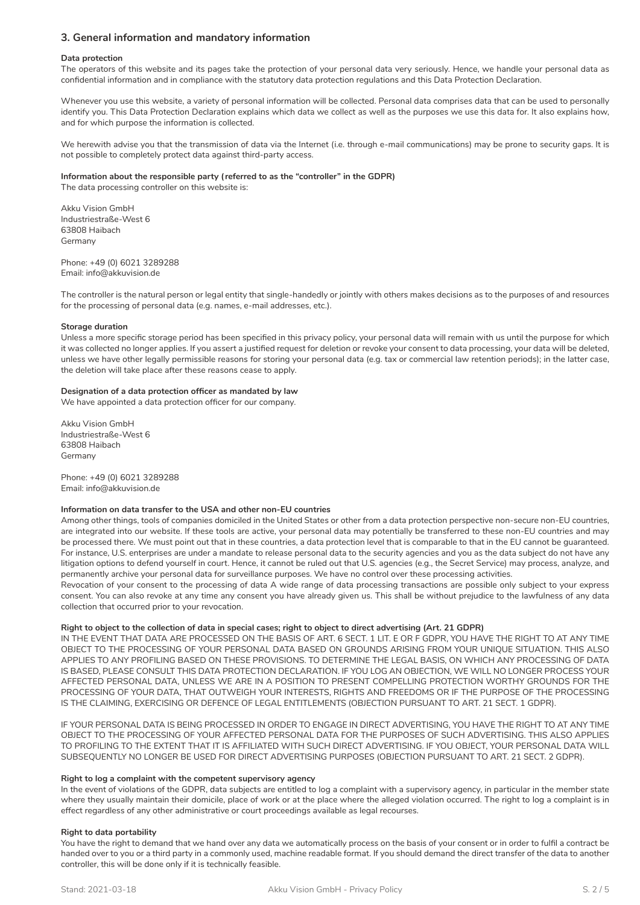# **3. General information and mandatory information**

## **Data protection**

The operators of this website and its pages take the protection of your personal data very seriously. Hence, we handle your personal data as confidential information and in compliance with the statutory data protection regulations and this Data Protection Declaration.

Whenever you use this website, a variety of personal information will be collected. Personal data comprises data that can be used to personally identify you. This Data Protection Declaration explains which data we collect as well as the purposes we use this data for. It also explains how, and for which purpose the information is collected.

We herewith advise you that the transmission of data via the Internet (i.e. through e-mail communications) may be prone to security gaps. It is not possible to completely protect data against third-party access.

## **Information about the responsible party (referred to as the "controller" in the GDPR)**

The data processing controller on this website is:

Akku Vision GmbH Industriestraße-West 6 63808 Haibach Germany

Phone: +49 (0) 6021 3289288 Email: info@akkuvision.de

The controller is the natural person or legal entity that single-handedly or jointly with others makes decisions as to the purposes of and resources for the processing of personal data (e.g. names, e-mail addresses, etc.).

## **Storage duration**

Unless a more specific storage period has been specified in this privacy policy, your personal data will remain with us until the purpose for which it was collected no longer applies. If you assert a justified request for deletion or revoke your consent to data processing, your data will be deleted, unless we have other legally permissible reasons for storing your personal data (e.g. tax or commercial law retention periods); in the latter case, the deletion will take place after these reasons cease to apply.

## **Designation of a data protection officer as mandated by law**

We have appointed a data protection officer for our company.

Akku Vision GmbH Industriestraße-West 6 63808 Haibach Germany

Phone: +49 (0) 6021 3289288 Email: info@akkuvision.de

## **Information on data transfer to the USA and other non-EU countries**

Among other things, tools of companies domiciled in the United States or other from a data protection perspective non-secure non-EU countries, are integrated into our website. If these tools are active, your personal data may potentially be transferred to these non-EU countries and may be processed there. We must point out that in these countries, a data protection level that is comparable to that in the EU cannot be guaranteed. For instance, U.S. enterprises are under a mandate to release personal data to the security agencies and you as the data subject do not have any litigation options to defend yourself in court. Hence, it cannot be ruled out that U.S. agencies (e.g., the Secret Service) may process, analyze, and permanently archive your personal data for surveillance purposes. We have no control over these processing activities.

Revocation of your consent to the processing of data A wide range of data processing transactions are possible only subject to your express consent. You can also revoke at any time any consent you have already given us. This shall be without prejudice to the lawfulness of any data collection that occurred prior to your revocation.

## **Right to object to the collection of data in special cases; right to object to direct advertising (Art. 21 GDPR)**

IN THE EVENT THAT DATA ARE PROCESSED ON THE BASIS OF ART. 6 SECT. 1 LIT. E OR F GDPR, YOU HAVE THE RIGHT TO AT ANY TIME OBJECT TO THE PROCESSING OF YOUR PERSONAL DATA BASED ON GROUNDS ARISING FROM YOUR UNIQUE SITUATION. THIS ALSO APPLIES TO ANY PROFILING BASED ON THESE PROVISIONS. TO DETERMINE THE LEGAL BASIS, ON WHICH ANY PROCESSING OF DATA IS BASED, PLEASE CONSULT THIS DATA PROTECTION DECLARATION. IF YOU LOG AN OBJECTION, WE WILL NO LONGER PROCESS YOUR AFFECTED PERSONAL DATA, UNLESS WE ARE IN A POSITION TO PRESENT COMPELLING PROTECTION WORTHY GROUNDS FOR THE PROCESSING OF YOUR DATA, THAT OUTWEIGH YOUR INTERESTS, RIGHTS AND FREEDOMS OR IF THE PURPOSE OF THE PROCESSING IS THE CLAIMING, EXERCISING OR DEFENCE OF LEGAL ENTITLEMENTS (OBJECTION PURSUANT TO ART. 21 SECT. 1 GDPR).

IF YOUR PERSONAL DATA IS BEING PROCESSED IN ORDER TO ENGAGE IN DIRECT ADVERTISING, YOU HAVE THE RIGHT TO AT ANY TIME OBJECT TO THE PROCESSING OF YOUR AFFECTED PERSONAL DATA FOR THE PURPOSES OF SUCH ADVERTISING. THIS ALSO APPLIES TO PROFILING TO THE EXTENT THAT IT IS AFFILIATED WITH SUCH DIRECT ADVERTISING. IF YOU OBJECT, YOUR PERSONAL DATA WILL SUBSEQUENTLY NO LONGER BE USED FOR DIRECT ADVERTISING PURPOSES (OBJECTION PURSUANT TO ART. 21 SECT. 2 GDPR).

## **Right to log a complaint with the competent supervisory agency**

In the event of violations of the GDPR, data subjects are entitled to log a complaint with a supervisory agency, in particular in the member state where they usually maintain their domicile, place of work or at the place where the alleged violation occurred. The right to log a complaint is in effect regardless of any other administrative or court proceedings available as legal recourses.

## **Right to data portability**

You have the right to demand that we hand over any data we automatically process on the basis of your consent or in order to fulfil a contract be handed over to you or a third party in a commonly used, machine readable format. If you should demand the direct transfer of the data to another controller, this will be done only if it is technically feasible.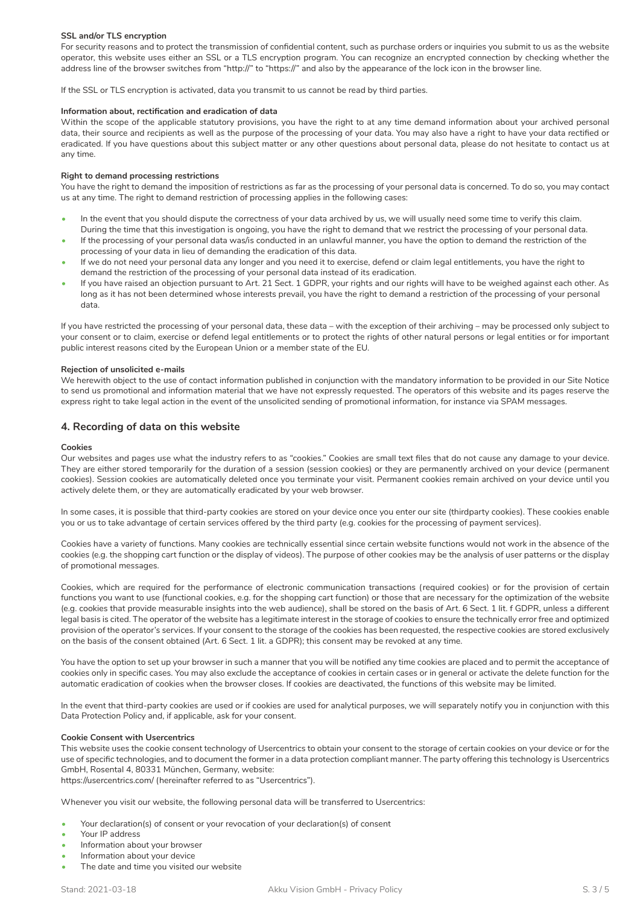## **SSL and/or TLS encryption**

For security reasons and to protect the transmission of confidential content, such as purchase orders or inquiries you submit to us as the website operator, this website uses either an SSL or a TLS encryption program. You can recognize an encrypted connection by checking whether the address line of the browser switches from "http://" to "https://" and also by the appearance of the lock icon in the browser line.

If the SSL or TLS encryption is activated, data you transmit to us cannot be read by third parties.

## **Information about, rectification and eradication of data**

Within the scope of the applicable statutory provisions, you have the right to at any time demand information about your archived personal data, their source and recipients as well as the purpose of the processing of your data. You may also have a right to have your data rectified or eradicated. If you have questions about this subject matter or any other questions about personal data, please do not hesitate to contact us at any time.

#### **Right to demand processing restrictions**

You have the right to demand the imposition of restrictions as far as the processing of your personal data is concerned. To do so, you may contact us at any time. The right to demand restriction of processing applies in the following cases:

- In the event that you should dispute the correctness of your data archived by us, we will usually need some time to verify this claim.
- During the time that this investigation is ongoing, you have the right to demand that we restrict the processing of your personal data. • If the processing of your personal data was/is conducted in an unlawful manner, you have the option to demand the restriction of the processing of your data in lieu of demanding the eradication of this data.
- If we do not need your personal data any longer and you need it to exercise, defend or claim legal entitlements, you have the right to demand the restriction of the processing of your personal data instead of its eradication.
- If you have raised an objection pursuant to Art. 21 Sect. 1 GDPR, your rights and our rights will have to be weighed against each other. As long as it has not been determined whose interests prevail, you have the right to demand a restriction of the processing of your personal data.

If you have restricted the processing of your personal data, these data – with the exception of their archiving – may be processed only subject to your consent or to claim, exercise or defend legal entitlements or to protect the rights of other natural persons or legal entities or for important public interest reasons cited by the European Union or a member state of the EU.

#### **Rejection of unsolicited e-mails**

We herewith object to the use of contact information published in conjunction with the mandatory information to be provided in our Site Notice to send us promotional and information material that we have not expressly requested. The operators of this website and its pages reserve the express right to take legal action in the event of the unsolicited sending of promotional information, for instance via SPAM messages.

## **4. Recording of data on this website**

#### **Cookies**

Our websites and pages use what the industry refers to as "cookies." Cookies are small text files that do not cause any damage to your device. They are either stored temporarily for the duration of a session (session cookies) or they are permanently archived on your device (permanent cookies). Session cookies are automatically deleted once you terminate your visit. Permanent cookies remain archived on your device until you actively delete them, or they are automatically eradicated by your web browser.

In some cases, it is possible that third-party cookies are stored on your device once you enter our site (thirdparty cookies). These cookies enable you or us to take advantage of certain services offered by the third party (e.g. cookies for the processing of payment services).

Cookies have a variety of functions. Many cookies are technically essential since certain website functions would not work in the absence of the cookies (e.g. the shopping cart function or the display of videos). The purpose of other cookies may be the analysis of user patterns or the display of promotional messages.

Cookies, which are required for the performance of electronic communication transactions (required cookies) or for the provision of certain functions you want to use (functional cookies, e.g. for the shopping cart function) or those that are necessary for the optimization of the website (e.g. cookies that provide measurable insights into the web audience), shall be stored on the basis of Art. 6 Sect. 1 lit. f GDPR, unless a different legal basis is cited. The operator of the website has a legitimate interest in the storage of cookies to ensure the technically error free and optimized provision of the operator's services. If your consent to the storage of the cookies has been requested, the respective cookies are stored exclusively on the basis of the consent obtained (Art. 6 Sect. 1 lit. a GDPR); this consent may be revoked at any time.

You have the option to set up your browser in such a manner that you will be notified any time cookies are placed and to permit the acceptance of cookies only in specific cases. You may also exclude the acceptance of cookies in certain cases or in general or activate the delete function for the automatic eradication of cookies when the browser closes. If cookies are deactivated, the functions of this website may be limited.

In the event that third-party cookies are used or if cookies are used for analytical purposes, we will separately notify you in conjunction with this Data Protection Policy and, if applicable, ask for your consent.

#### **Cookie Consent with Usercentrics**

This website uses the cookie consent technology of Usercentrics to obtain your consent to the storage of certain cookies on your device or for the use of specific technologies, and to document the former in a data protection compliant manner. The party offering this technology is Usercentrics GmbH, Rosental 4, 80331 München, Germany, website: https://usercentrics.com/ (hereinafter referred to as "Usercentrics").

Whenever you visit our website, the following personal data will be transferred to Usercentrics:

- Your declaration(s) of consent or your revocation of your declaration(s) of consent
- Your IP address
- Information about your browser
- Information about your device
- The date and time you visited our website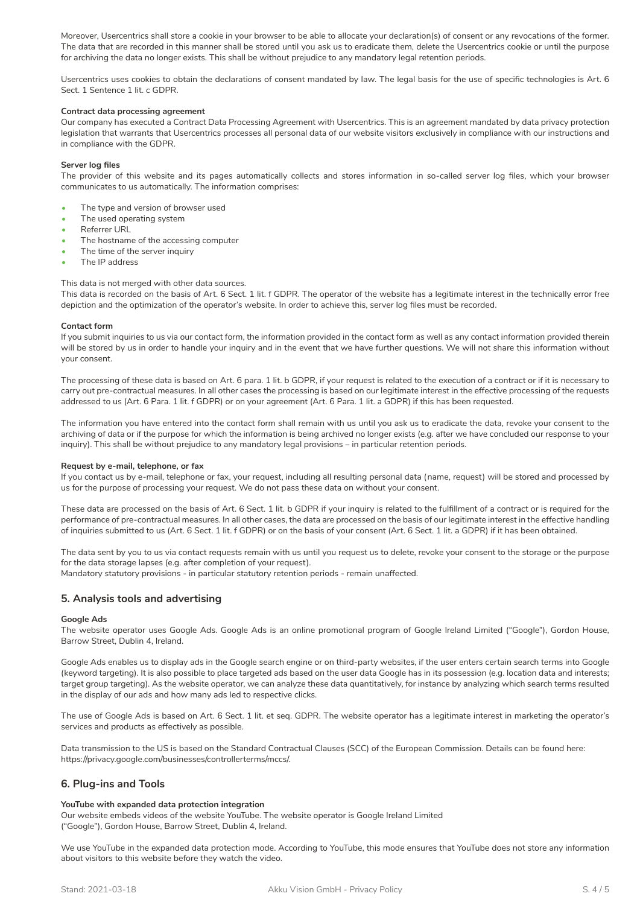Moreover, Usercentrics shall store a cookie in your browser to be able to allocate your declaration(s) of consent or any revocations of the former. The data that are recorded in this manner shall be stored until you ask us to eradicate them, delete the Usercentrics cookie or until the purpose for archiving the data no longer exists. This shall be without prejudice to any mandatory legal retention periods.

Usercentrics uses cookies to obtain the declarations of consent mandated by law. The legal basis for the use of specific technologies is Art. 6 Sect. 1 Sentence 1 lit. c GDPR.

## **Contract data processing agreement**

Our company has executed a Contract Data Processing Agreement with Usercentrics. This is an agreement mandated by data privacy protection legislation that warrants that Usercentrics processes all personal data of our website visitors exclusively in compliance with our instructions and in compliance with the GDPR.

## **Server log files**

The provider of this website and its pages automatically collects and stores information in so-called server log files, which your browser communicates to us automatically. The information comprises:

- The type and version of browser used
- The used operating system
- Referrer URL
- The hostname of the accessing computer
- The time of the server inquiry
- The IP address

## This data is not merged with other data sources.

This data is recorded on the basis of Art. 6 Sect. 1 lit. f GDPR. The operator of the website has a legitimate interest in the technically error free depiction and the optimization of the operator's website. In order to achieve this, server log files must be recorded.

#### **Contact form**

If you submit inquiries to us via our contact form, the information provided in the contact form as well as any contact information provided therein will be stored by us in order to handle your inquiry and in the event that we have further questions. We will not share this information without your consent.

The processing of these data is based on Art. 6 para. 1 lit. b GDPR, if your request is related to the execution of a contract or if it is necessary to carry out pre-contractual measures. In all other cases the processing is based on our legitimate interest in the effective processing of the requests addressed to us (Art. 6 Para. 1 lit. f GDPR) or on your agreement (Art. 6 Para. 1 lit. a GDPR) if this has been requested.

The information you have entered into the contact form shall remain with us until you ask us to eradicate the data, revoke your consent to the archiving of data or if the purpose for which the information is being archived no longer exists (e.g. after we have concluded our response to your inquiry). This shall be without prejudice to any mandatory legal provisions – in particular retention periods.

#### **Request by e-mail, telephone, or fax**

If you contact us by e-mail, telephone or fax, your request, including all resulting personal data (name, request) will be stored and processed by us for the purpose of processing your request. We do not pass these data on without your consent.

These data are processed on the basis of Art. 6 Sect. 1 lit. b GDPR if your inquiry is related to the fulfillment of a contract or is required for the performance of pre-contractual measures. In all other cases, the data are processed on the basis of our legitimate interest in the effective handling of inquiries submitted to us (Art. 6 Sect. 1 lit. f GDPR) or on the basis of your consent (Art. 6 Sect. 1 lit. a GDPR) if it has been obtained.

The data sent by you to us via contact requests remain with us until you request us to delete, revoke your consent to the storage or the purpose for the data storage lapses (e.g. after completion of your request).

Mandatory statutory provisions - in particular statutory retention periods - remain unaffected.

# **5. Analysis tools and advertising**

#### **Google Ads**

The website operator uses Google Ads. Google Ads is an online promotional program of Google Ireland Limited ("Google"), Gordon House, Barrow Street, Dublin 4, Ireland.

Google Ads enables us to display ads in the Google search engine or on third-party websites, if the user enters certain search terms into Google (keyword targeting). It is also possible to place targeted ads based on the user data Google has in its possession (e.g. location data and interests; target group targeting). As the website operator, we can analyze these data quantitatively, for instance by analyzing which search terms resulted in the display of our ads and how many ads led to respective clicks.

The use of Google Ads is based on Art. 6 Sect. 1 lit. et seq. GDPR. The website operator has a legitimate interest in marketing the operator's services and products as effectively as possible.

Data transmission to the US is based on the Standard Contractual Clauses (SCC) of the European Commission. Details can be found here: https://privacy.google.com/businesses/controllerterms/mccs/.

# **6. Plug-ins and Tools**

# **YouTube with expanded data protection integration**

Our website embeds videos of the website YouTube. The website operator is Google Ireland Limited ("Google"), Gordon House, Barrow Street, Dublin 4, Ireland.

We use YouTube in the expanded data protection mode. According to YouTube, this mode ensures that YouTube does not store any information about visitors to this website before they watch the video.